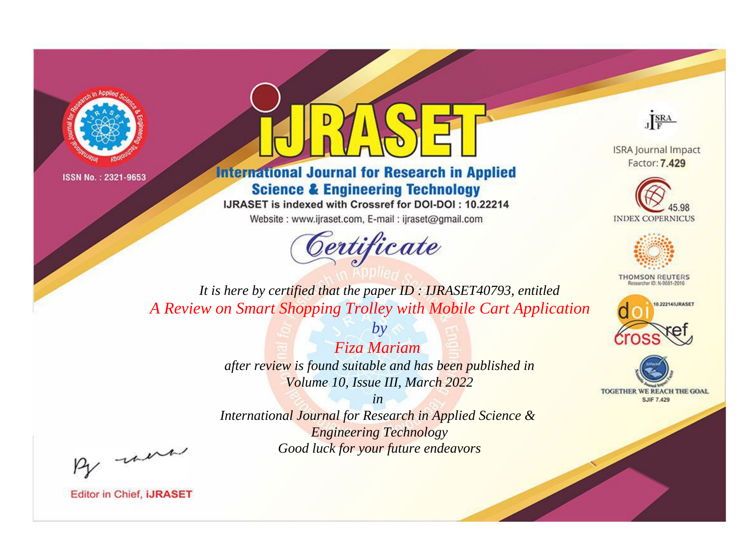



**International Journal for Research in Applied Science & Engineering Technology** 

IJRASET is indexed with Crossref for DOI-DOI: 10.22214

Website: www.ijraset.com, E-mail: ijraset@gmail.com





**ISRA Journal Impact** Factor: 7.429





**THOMSON REUTERS** 



TOGETHER WE REACH THE GOAL **SJIF 7.429** 

*It is here by certified that the paper ID : IJRASET40793, entitled A Review on Smart Shopping Trolley with Mobile Cart Application*

> *Fiza Mariam after review is found suitable and has been published in Volume 10, Issue III, March 2022*

*by*

*in* 

*International Journal for Research in Applied Science & Engineering Technology Good luck for your future endeavors*

By morn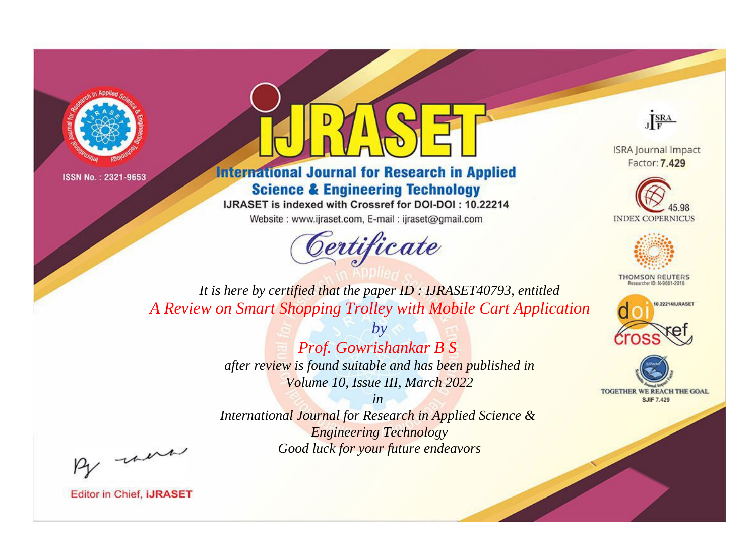



**International Journal for Research in Applied Science & Engineering Technology** 

IJRASET is indexed with Crossref for DOI-DOI: 10.22214

Website: www.ijraset.com, E-mail: ijraset@gmail.com





**ISRA Journal Impact** Factor: 7.429





**THOMSON REUTERS** 



TOGETHER WE REACH THE GOAL **SJIF 7.429** 

*It is here by certified that the paper ID : IJRASET40793, entitled A Review on Smart Shopping Trolley with Mobile Cart Application*

> *by Prof. Gowrishankar B S after review is found suitable and has been published in Volume 10, Issue III, March 2022*

> *in International Journal for Research in Applied Science &*

*Engineering Technology Good luck for your future endeavors*

By morn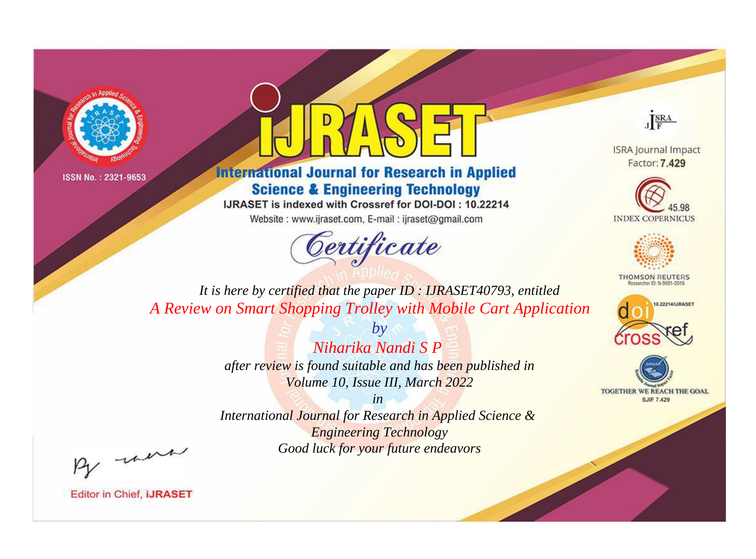



**International Journal for Research in Applied Science & Engineering Technology** 

IJRASET is indexed with Crossref for DOI-DOI: 10.22214

Website: www.ijraset.com, E-mail: ijraset@gmail.com





**ISRA Journal Impact** Factor: 7.429





**THOMSON REUTERS** 



TOGETHER WE REACH THE GOAL **SJIF 7.429** 

*It is here by certified that the paper ID : IJRASET40793, entitled A Review on Smart Shopping Trolley with Mobile Cart Application*

> *by Niharika Nandi S P*

*after review is found suitable and has been published in Volume 10, Issue III, March 2022*

*in* 

*International Journal for Research in Applied Science & Engineering Technology Good luck for your future endeavors*

By morn